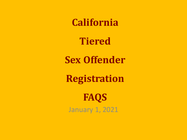**California**

**Tiered**

**Sex Offender**

**Registration**

January 1, 2021 **FAQS**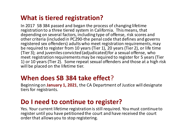## **What is tiered registration?**

In 2017 SB 384 passed and began the process of changing lifetime registration to a three tiered system in California. This means, that depending on several factors, including type of offense, risk scores and other criteria (included in PC290-the penal code that defines and governs registered sex offenders) adults who meet registration requirements, may be required to register from 10 years (Tier 1), 20 years (Tier 2), or life time {Tier 3); and juveniles convicted (adjudicated) for a sexual offense, who meet registration requirements may be required to register for 5 years (Tier 1) or 10 years (Tier 2). Some repeat sexual offenders and those at a high risk will be placed on the lifetime tier.

## **When does SB 384 take effect**?

Beginning on **January 1, 2021**, the CA Department of Justice will designate tiers for registrants.

# **Do I need to continue to register?**

Yes. Your current lifetime registration is still required. You must continue to register until you have petitioned the court and have received the court order that allows you to stop registering.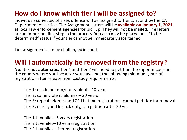# **How do I know which tier I will be assigned to?**

Individuals convicted of a sex offense will be assigned to Tier 1, 2, or 3 by the CA Department of Justice. Tier Assignment Letters will be **available on January 1, 2021**  at local law enforcement agencies for pick up. They will not be mailed. The letters are an important first step in the process. You also may be placed on a "to-bedetermined" status if your tier cannot be immediately ascertained.

Tier assignments can be challenged in court.

# **Will I automatically be removed from the registry?**

**No. It is not automatic.** Tier 1 and Tier 2 will need to petition the superior court in the county where you live after you have met the following minimum years of registration after release from custody requirements:

Tier 1: misdemeanor/non-violent – 10 years Tier 2: some violent felonies – 20 years Tier 3: repeat felonies and CP-Lifetime registration –cannot petition for removal Tier 3: if assigned for risk only, can petition after 20 yrs.

Tier 1 Juveniles–5 years registration Tier 2 Juveniles–10 years registration Tier 3 Juveniles– Lifetime registration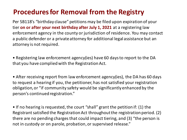# **Procedures for Removal from the Registry**

Per SB118's "birthday clause" petitions may be filed upon expiration of your tier **on or after your next birthday after July 1, 2021** at a registering law enforcement agency in the county or jurisdiction of residence. You may contact a public defender or a private attorney for additional legal assistance but an attorney is not required.

• Registering law enforcement agency(ies) have 60 days to report to the DA that you have complied with the Registration Act.

• After receiving report from law enforcement agency(ies), the DA has 60 days to request a hearing if you, the petitioner, has not satisfied your registration obligation, or "if community safety would be significantly enhanced by the person's continued registration."

• If no hearing is requested, the court "shall" grant the petition if: (1) the Registrant satisfied the Registration Act throughout the registration period. (2) there are no pending charges that could impact tiering, and (3) "the person is not in custody or on parole, probation, or supervised release."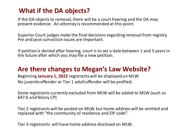## **What if the DA objects?**

If the DA objects to removal, there will be a court hearing and the DA may present evidence. An attorney is recommended at this point.

Superior Court judges make the final decisions regarding removal from registry. Pre and post-conviction issues are important.

If petition is denied after hearing, court is to set a date between 1 and 5 years in the future after which you may file a new petition.

## **Are there changes to Megan's Law Website?**

Beginning **January 1, 2022** registrants will be displayed on MLW. No juvenile offender or Tier 1 adult offender will be profiled.

Some registrants currently excluded from MLW will be added to MLW (such as 647.6 and felony CP)

Tier 2 registrants will be posted on MLW, but home address will be omitted and replaced with "the community of residence and ZIP code".

Tier 3 registrants will have home address disclosed on MLW.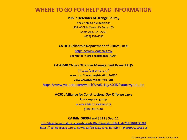## **WHERE TO GO FOR HELP AND INFORMATION**

#### **Public Defender of Orange County**

**Seek help to file petitions** 801 W Civic Center Dr Suite 400 Santa Ana, CA 92701 (657) 251-6090

## **CA DOJ California Department of Justice FAQS**

<https://www.oag.ca.gov/>

**search for "tiered registrants FAQS"**

### **CASOMB CA Sex Offender Management Board FAQS**

<https://casomb.org/>

**search on "tiered registration FAQS"**

**View CASOMB Video: YouTube**

<https://www.youtube.com/watch?v=aKe1KjzKSCI&feature=youtu.be>

**ACSOL Alliance for Constitutional Sex Offense Laws**

**Join a support group** 

[www.all4consolaws.org](http://www.all4consolaws.org)

(818) 305-5984

## **CA Bills: SB394 and SB118 Sec. 11**

[http://leginfo.legislature.ca.gov/faces/billNavClient.xhtml?bill\\_id=201720180SB384](http://leginfo.legislature.ca.gov/faces/billNavClient.xhtml?bill_id=201720180SB384) [https://leginfo.legislature.ca.gov/faces/billTextClient.xhtml?bill\\_id=201920200SB118](https://leginfo.legislature.ca.gov/faces/billTextClient.xhtml?bill_id=201920200SB118)

2020 copyright Returning Home Foundation